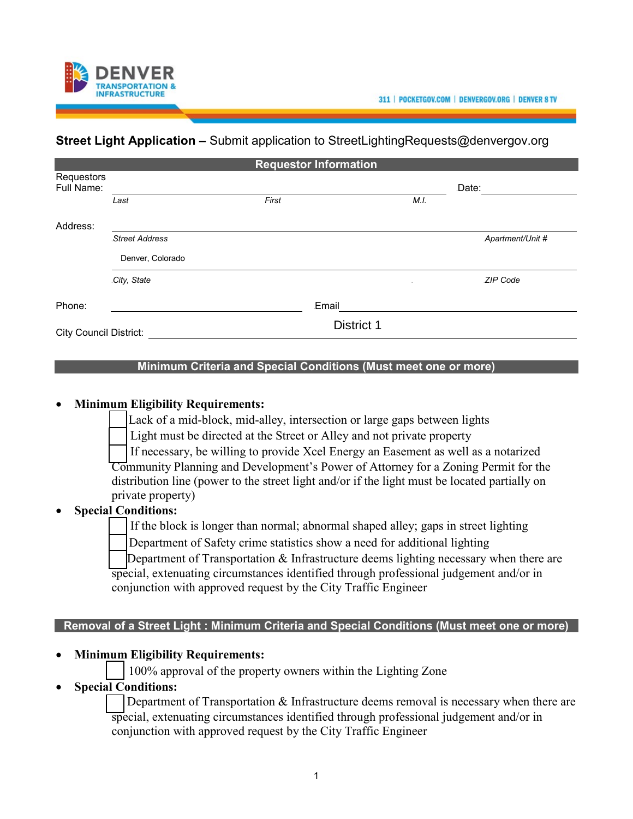



# **Street Light Application –** Submit application to [StreetLightingRequests@denvergov.org](mailto:StreetLightingRequests@denvergov.org)

|                               | <b>Requestor Information</b> |                   |      |                  |  |  |  |
|-------------------------------|------------------------------|-------------------|------|------------------|--|--|--|
| Requestors<br>Full Name:      |                              |                   |      | Date:            |  |  |  |
|                               | Last                         | First             | M.I. |                  |  |  |  |
| Address:                      |                              |                   |      |                  |  |  |  |
|                               | Street Address               |                   |      | Apartment/Unit # |  |  |  |
|                               | Denver, Colorado             |                   |      |                  |  |  |  |
|                               | City, State                  |                   |      | ZIP Code         |  |  |  |
| Phone:                        |                              | Email             |      |                  |  |  |  |
| <b>City Council District:</b> |                              | <b>District 1</b> |      |                  |  |  |  |

#### **Minimum Criteria and Special Conditions (Must meet one or more)**

#### • **Minimum Eligibility Requirements:**

Lack of a mid-block, mid-alley, intersection or large gaps between lights

Light must be directed at the Street or Alley and not private property

 ☐ If necessary, be willing to provide Xcel Energy an Easement as well as a notarized Community Planning and Development's Power of Attorney for a Zoning Permit for the distribution line (power to the street light and/or if the light must be located partially on private property)

### • **Special Conditions:**

If the block is longer than normal; abnormal shaped alley; gaps in street lighting

Department of Safety crime statistics show a need for additional lighting

Department of Transportation  $\&$  Infrastructure deems lighting necessary when there are special, extenuating circumstances identified through professional judgement and/or in conjunction with approved request by the City Traffic Engineer

### **Removal of a Street Light : Minimum Criteria and Special Conditions (Must meet one or more)**

### • **Minimum Eligibility Requirements:**

☐ 100% approval of the property owners within the Lighting Zone

## • **Special Conditions:**

Department of Transportation & Infrastructure deems removal is necessary when there are special, extenuating circumstances identified through professional judgement and/or in conjunction with approved request by the City Traffic Engineer